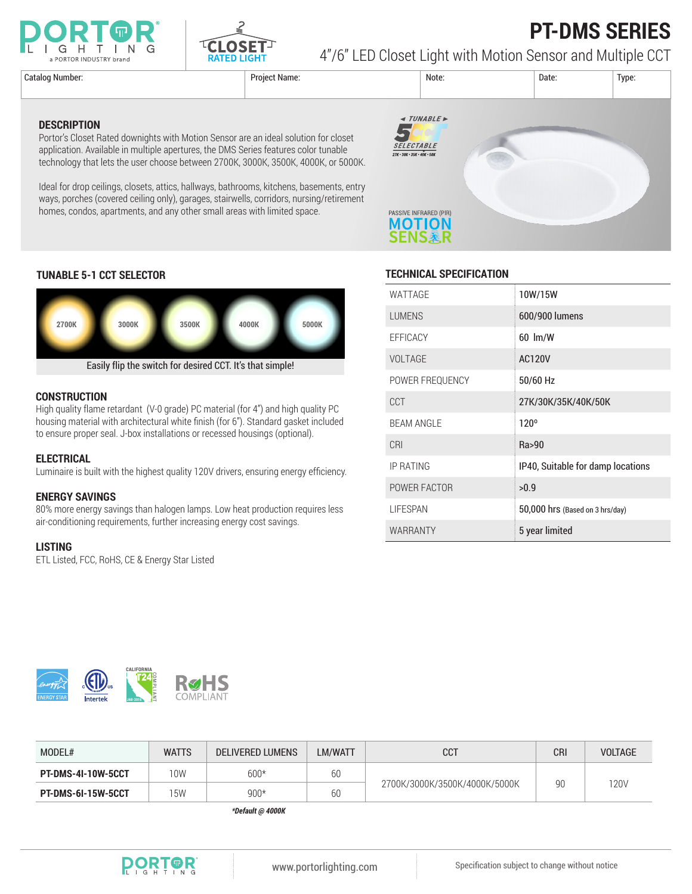



## **PT-DMS SERIES** 4"/6" LED Closet Light with Motion Sensor and Multiple CCT

**DESCRIPTION**

Catalog Number: Project Name: Note: Date: Type: **∢ TUNABLE**  $\blacktriangledown$ **SELECTABLE**  $27K \cdot 30K \cdot 35K \cdot 40K \cdot 50K$ PASSIVE INFRARED (PIR) **MOTION SENS素R** 

### **TUNABLE 5-1 CCT SELECTOR**



Portor's Closet Rated downights with Motion Sensor are an ideal solution for closet application. Available in multiple apertures, the DMS Series features color tunable technology that lets the user choose between 2700K, 3000K, 3500K, 4000K, or 5000K.

Ideal for drop ceilings, closets, attics, hallways, bathrooms, kitchens, basements, entry ways, porches (covered ceiling only), garages, stairwells, corridors, nursing/retirement

homes, condos, apartments, and any other small areas with limited space.

#### **CONSTRUCTION**

High quality flame retardant (V-0 grade) PC material (for 4") and high quality PC housing material with architectural white finish (for 6"). Standard gasket included to ensure proper seal. J-box installations or recessed housings (optional).

#### **ELECTRICAL**

Luminaire is built with the highest quality 120V drivers, ensuring energy efficiency.

#### **ENERGY SAVINGS**

80% more energy savings than halogen lamps. Low heat production requires less air-conditioning requirements, further increasing energy cost savings.

#### **LISTING**

ETL Listed, FCC, RoHS, CE & Energy Star Listed

| WATTAGE           | 10W/15W                           |
|-------------------|-----------------------------------|
| <b>LUMENS</b>     | 600/900 lumens                    |
| EFFICACY          | $60 \,$ lm/W                      |
| <b>VOLTAGE</b>    | <b>AC120V</b>                     |
| POWER FREQUENCY   | 50/60 Hz                          |
| CCT               | 27K/30K/35K/40K/50K               |
| <b>BEAM ANGLE</b> | 120°                              |
| CRI               | Ra>90                             |
| <b>IP RATING</b>  | IP40, Suitable for damp locations |
| POWER FACTOR      | >0.9                              |
| <b>LIFESPAN</b>   | 50,000 hrs (Based on 3 hrs/day)   |
| <b>WARRANTY</b>   | 5 year limited                    |



| MODEL#                    | <b>WATTS</b> | <b>DELIVERED LUMENS</b> | LM/WATT | <b>CCT</b>                    | <b>CRI</b> | <b>VOLTAGE</b> |
|---------------------------|--------------|-------------------------|---------|-------------------------------|------------|----------------|
| <b>PT-DMS-4I-10W-5CCT</b> | 10W          | $600*$                  | 60      |                               | 90         | 120V           |
| <b>PT-DMS-6I-15W-5CCT</b> | 15W          | $900*$                  | 60      | 2700K/3000K/3500K/4000K/5000K |            |                |

*\*Default @ 4000K*

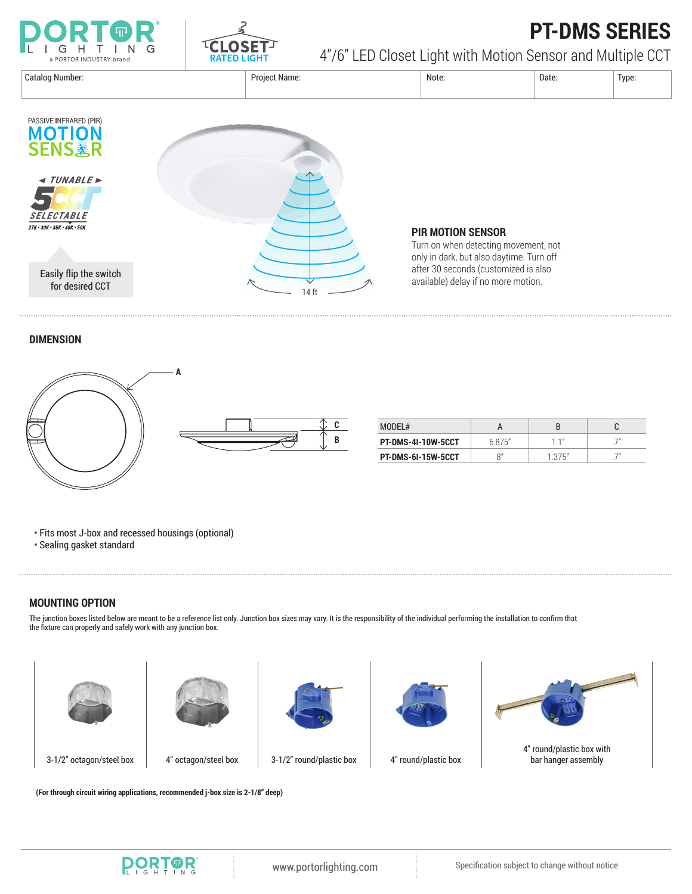



## **PT-DMS SERIES**

4"/6" LED Closet Light with Motion Sensor and Multiple CCT



### **PIR MOTION SENSOR**

Turn on when detecting movement, not only in dark, but also daytime. Turn off after 30 seconds (customized is also

#### **DIMENSION**



| MODEL#                    |        |        |  |
|---------------------------|--------|--------|--|
| PT-DMS-4I-10W-5CCT        | 6.875" |        |  |
| <b>PT-DMS-6I-15W-5CCT</b> | 8″     | 1.375" |  |

• Fits most J-box and recessed housings (optional)

• Sealing gasket standard

#### **MOUNTING OPTION**

The junction boxes listed below are meant to be a reference list only. Junction box sizes may vary. It is the responsibility of the individual performing the installation to confirm that the fixture can properly and safely work with any junction box.









3-1/2" octagon/steel box 4" octagon/steel box 3-1/2" round/plastic box 4" round/plastic box



4" round/plastic box with bar hanger assembly

**(For through circuit wiring applications, recommended j-box size is 2-1/8" deep)**

**PORTOR**